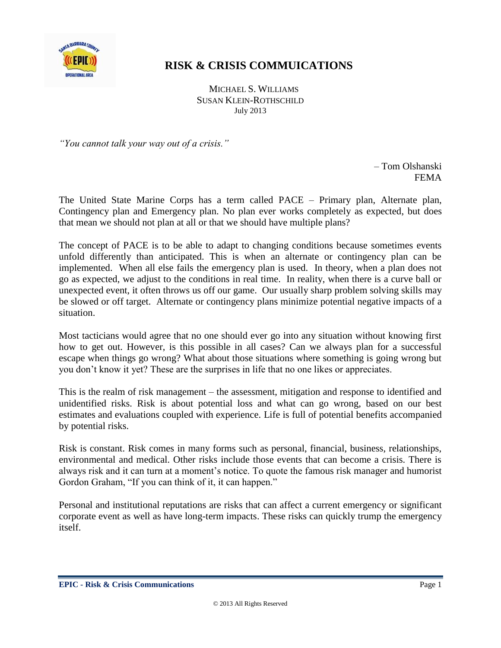

## **RISK & CRISIS COMMUICATIONS**

 MICHAEL S. WILLIAMS SUSAN KLEIN-ROTHSCHILD July 2013

*"You cannot talk your way out of a crisis."*

– Tom Olshanski FEMA

The United State Marine Corps has a term called PACE – Primary plan, Alternate plan, Contingency plan and Emergency plan. No plan ever works completely as expected, but does that mean we should not plan at all or that we should have multiple plans?

The concept of PACE is to be able to adapt to changing conditions because sometimes events unfold differently than anticipated. This is when an alternate or contingency plan can be implemented. When all else fails the emergency plan is used. In theory, when a plan does not go as expected, we adjust to the conditions in real time. In reality, when there is a curve ball or unexpected event, it often throws us off our game. Our usually sharp problem solving skills may be slowed or off target. Alternate or contingency plans minimize potential negative impacts of a situation.

Most tacticians would agree that no one should ever go into any situation without knowing first how to get out. However, is this possible in all cases? Can we always plan for a successful escape when things go wrong? What about those situations where something is going wrong but you don't know it yet? These are the surprises in life that no one likes or appreciates.

This is the realm of risk management – the assessment, mitigation and response to identified and unidentified risks. Risk is about potential loss and what can go wrong, based on our best estimates and evaluations coupled with experience. Life is full of potential benefits accompanied by potential risks.

Risk is constant. Risk comes in many forms such as personal, financial, business, relationships, environmental and medical. Other risks include those events that can become a crisis. There is always risk and it can turn at a moment's notice. To quote the famous risk manager and humorist Gordon Graham, "If you can think of it, it can happen."

Personal and institutional reputations are risks that can affect a current emergency or significant corporate event as well as have long-term impacts. These risks can quickly trump the emergency itself.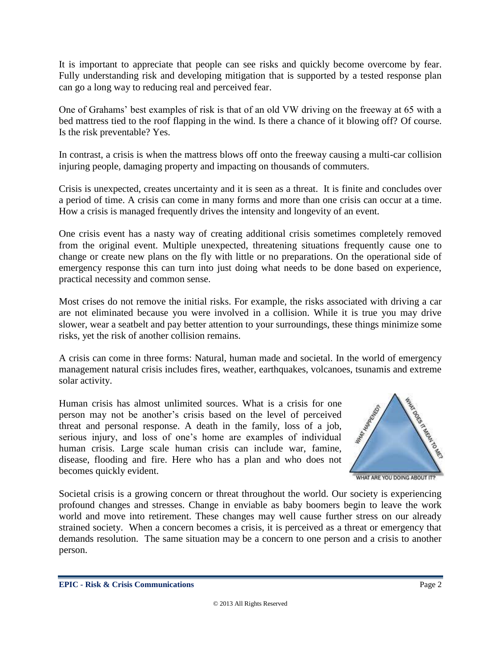It is important to appreciate that people can see risks and quickly become overcome by fear. Fully understanding risk and developing mitigation that is supported by a tested response plan can go a long way to reducing real and perceived fear.

One of Grahams' best examples of risk is that of an old VW driving on the freeway at 65 with a bed mattress tied to the roof flapping in the wind. Is there a chance of it blowing off? Of course. Is the risk preventable? Yes.

In contrast, a crisis is when the mattress blows off onto the freeway causing a multi-car collision injuring people, damaging property and impacting on thousands of commuters.

Crisis is unexpected, creates uncertainty and it is seen as a threat. It is finite and concludes over a period of time. A crisis can come in many forms and more than one crisis can occur at a time. How a crisis is managed frequently drives the intensity and longevity of an event.

One crisis event has a nasty way of creating additional crisis sometimes completely removed from the original event. Multiple unexpected, threatening situations frequently cause one to change or create new plans on the fly with little or no preparations. On the operational side of emergency response this can turn into just doing what needs to be done based on experience, practical necessity and common sense.

Most crises do not remove the initial risks. For example, the risks associated with driving a car are not eliminated because you were involved in a collision. While it is true you may drive slower, wear a seatbelt and pay better attention to your surroundings, these things minimize some risks, yet the risk of another collision remains.

A crisis can come in three forms: Natural, human made and societal. In the world of emergency management natural crisis includes fires, weather, earthquakes, volcanoes, tsunamis and extreme solar activity.

Human crisis has almost unlimited sources. What is a crisis for one person may not be another's crisis based on the level of perceived threat and personal response. A death in the family, loss of a job, serious injury, and loss of one's home are examples of individual human crisis. Large scale human crisis can include war, famine, disease, flooding and fire. Here who has a plan and who does not becomes quickly evident.



WHAT ARE YOU DOING ABOUT IT?

Societal crisis is a growing concern or threat throughout the world. Our society is experiencing profound changes and stresses. Change in enviable as baby boomers begin to leave the work world and move into retirement. These changes may well cause further stress on our already strained society. When a concern becomes a crisis, it is perceived as a threat or emergency that demands resolution. The same situation may be a concern to one person and a crisis to another person.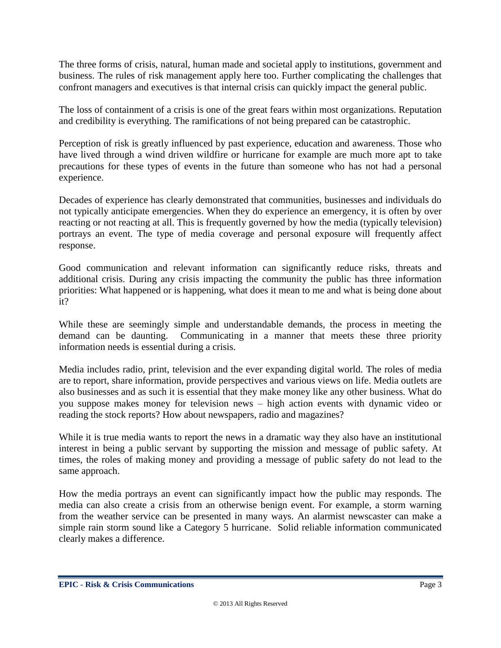The three forms of crisis, natural, human made and societal apply to institutions, government and business. The rules of risk management apply here too. Further complicating the challenges that confront managers and executives is that internal crisis can quickly impact the general public.

The loss of containment of a crisis is one of the great fears within most organizations. Reputation and credibility is everything. The ramifications of not being prepared can be catastrophic.

Perception of risk is greatly influenced by past experience, education and awareness. Those who have lived through a wind driven wildfire or hurricane for example are much more apt to take precautions for these types of events in the future than someone who has not had a personal experience.

Decades of experience has clearly demonstrated that communities, businesses and individuals do not typically anticipate emergencies. When they do experience an emergency, it is often by over reacting or not reacting at all. This is frequently governed by how the media (typically television) portrays an event. The type of media coverage and personal exposure will frequently affect response.

Good communication and relevant information can significantly reduce risks, threats and additional crisis. During any crisis impacting the community the public has three information priorities: What happened or is happening, what does it mean to me and what is being done about it?

While these are seemingly simple and understandable demands, the process in meeting the demand can be daunting. Communicating in a manner that meets these three priority information needs is essential during a crisis.

Media includes radio, print, television and the ever expanding digital world. The roles of media are to report, share information, provide perspectives and various views on life. Media outlets are also businesses and as such it is essential that they make money like any other business. What do you suppose makes money for television news – high action events with dynamic video or reading the stock reports? How about newspapers, radio and magazines?

While it is true media wants to report the news in a dramatic way they also have an institutional interest in being a public servant by supporting the mission and message of public safety. At times, the roles of making money and providing a message of public safety do not lead to the same approach.

How the media portrays an event can significantly impact how the public may responds. The media can also create a crisis from an otherwise benign event. For example, a storm warning from the weather service can be presented in many ways. An alarmist newscaster can make a simple rain storm sound like a Category 5 hurricane. Solid reliable information communicated clearly makes a difference.